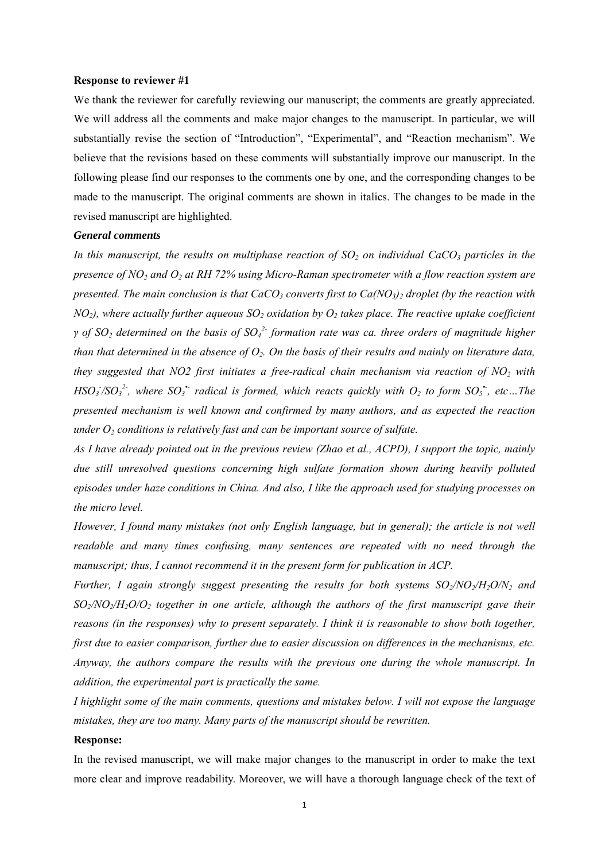#### **Response to reviewer #1**

We thank the reviewer for carefully reviewing our manuscript; the comments are greatly appreciated. We will address all the comments and make major changes to the manuscript. In particular, we will substantially revise the section of "Introduction", "Experimental", and "Reaction mechanism". We believe that the revisions based on these comments will substantially improve our manuscript. In the following please find our responses to the comments one by one, and the corresponding changes to be made to the manuscript. The original comments are shown in italics. The changes to be made in the revised manuscript are highlighted.

### *General comments*

In this manuscript, the results on multiphase reaction of  $SO<sub>2</sub>$  on individual CaCO<sub>3</sub> particles in the *presence of NO2 and O2 at RH 72% using Micro-Raman spectrometer with a flow reaction system are presented. The main conclusion is that CaCO<sub>3</sub> converts first to Ca(NO<sub>3</sub>)<sub>2</sub> droplet (by the reaction with*  $NO<sub>2</sub>$ ), where actually further aqueous  $SO<sub>2</sub>$  oxidation by  $O<sub>2</sub>$  takes place. The reactive uptake coefficient *γ* of SO<sub>2</sub> determined on the basis of SO<sub>4</sub><sup>2</sup> formation rate was ca. three orders of magnitude higher *than that determined in the absence of*  $O_2$ *. On the basis of their results and mainly on literature data, they suggested that NO2 first initiates a free-radical chain mechanism via reaction of NO2 with*   $HSO_3/SO_3^2$ , where  $SO_3$  *radical is formed, which reacts quickly with*  $O_2$  *to form*  $SO_5$ *, etc...The presented mechanism is well known and confirmed by many authors, and as expected the reaction under*  $O_2$  *conditions is relatively fast and can be important source of sulfate.* 

*As I have already pointed out in the previous review (Zhao et al., ACPD), I support the topic, mainly due still unresolved questions concerning high sulfate formation shown during heavily polluted episodes under haze conditions in China. And also, I like the approach used for studying processes on the micro level.* 

*However, I found many mistakes (not only English language, but in general); the article is not well readable and many times confusing, many sentences are repeated with no need through the manuscript; thus, I cannot recommend it in the present form for publication in ACP.* 

*Further, I again strongly suggest presenting the results for both systems*  $SO_2/NO_2/H_2O/N_2$  *and SO2/NO2/H2O/O2 together in one article, although the authors of the first manuscript gave their reasons (in the responses) why to present separately. I think it is reasonable to show both together, first due to easier comparison, further due to easier discussion on differences in the mechanisms, etc. Anyway, the authors compare the results with the previous one during the whole manuscript. In addition, the experimental part is practically the same.* 

*I highlight some of the main comments, questions and mistakes below. I will not expose the language mistakes, they are too many. Many parts of the manuscript should be rewritten.* 

### **Response:**

In the revised manuscript, we will make major changes to the manuscript in order to make the text more clear and improve readability. Moreover, we will have a thorough language check of the text of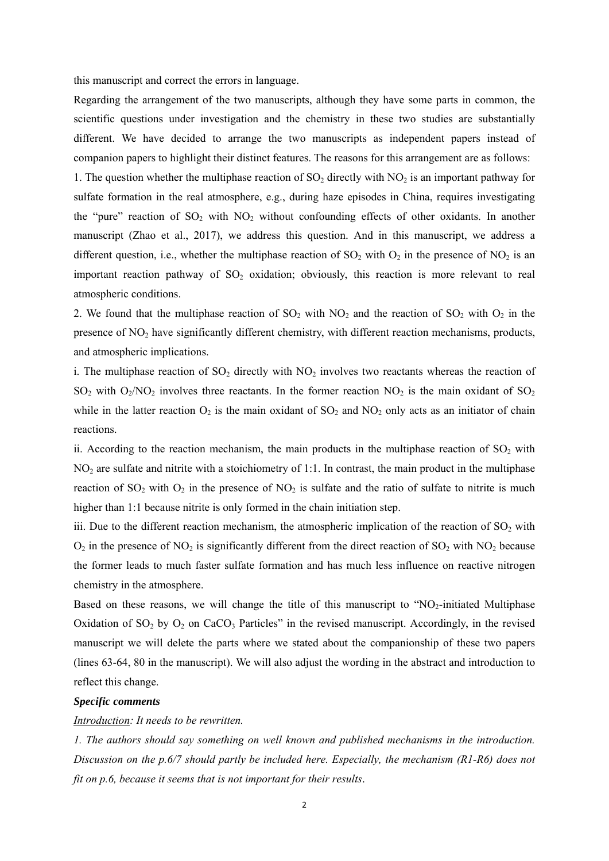this manuscript and correct the errors in language.

Regarding the arrangement of the two manuscripts, although they have some parts in common, the scientific questions under investigation and the chemistry in these two studies are substantially different. We have decided to arrange the two manuscripts as independent papers instead of companion papers to highlight their distinct features. The reasons for this arrangement are as follows:

1. The question whether the multiphase reaction of  $SO_2$  directly with  $NO_2$  is an important pathway for sulfate formation in the real atmosphere, e.g., during haze episodes in China, requires investigating the "pure" reaction of  $SO_2$  with  $NO_2$  without confounding effects of other oxidants. In another manuscript (Zhao et al., 2017), we address this question. And in this manuscript, we address a different question, i.e., whether the multiphase reaction of  $SO_2$  with  $O_2$  in the presence of  $NO_2$  is an important reaction pathway of  $SO_2$  oxidation; obviously, this reaction is more relevant to real atmospheric conditions.

2. We found that the multiphase reaction of  $SO_2$  with  $NO_2$  and the reaction of  $SO_2$  with  $O_2$  in the presence of NO<sub>2</sub> have significantly different chemistry, with different reaction mechanisms, products, and atmospheric implications.

i. The multiphase reaction of  $SO_2$  directly with  $NO_2$  involves two reactants whereas the reaction of  $SO_2$  with  $O_2/NO_2$  involves three reactants. In the former reaction  $NO_2$  is the main oxidant of  $SO_2$ while in the latter reaction  $O_2$  is the main oxidant of  $SO_2$  and  $NO_2$  only acts as an initiator of chain reactions.

ii. According to the reaction mechanism, the main products in the multiphase reaction of  $SO<sub>2</sub>$  with  $NO<sub>2</sub>$  are sulfate and nitrite with a stoichiometry of 1:1. In contrast, the main product in the multiphase reaction of  $SO_2$  with  $O_2$  in the presence of  $NO_2$  is sulfate and the ratio of sulfate to nitrite is much higher than 1:1 because nitrite is only formed in the chain initiation step.

iii. Due to the different reaction mechanism, the atmospheric implication of the reaction of  $SO_2$  with  $O_2$  in the presence of NO<sub>2</sub> is significantly different from the direct reaction of SO<sub>2</sub> with NO<sub>2</sub> because the former leads to much faster sulfate formation and has much less influence on reactive nitrogen chemistry in the atmosphere.

Based on these reasons, we will change the title of this manuscript to "NO<sub>2</sub>-initiated Multiphase Oxidation of  $SO_2$  by  $O_2$  on CaCO<sub>3</sub> Particles" in the revised manuscript. Accordingly, in the revised manuscript we will delete the parts where we stated about the companionship of these two papers (lines 63-64, 80 in the manuscript). We will also adjust the wording in the abstract and introduction to reflect this change.

### *Specific comments*

#### *Introduction: It needs to be rewritten.*

*1. The authors should say something on well known and published mechanisms in the introduction. Discussion on the p.6/7 should partly be included here. Especially, the mechanism (R1-R6) does not fit on p.6, because it seems that is not important for their results*.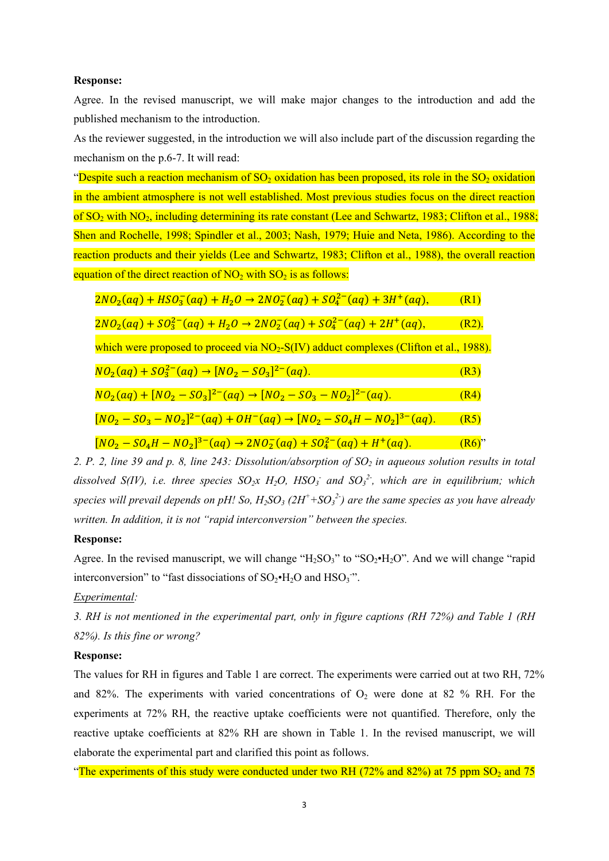#### **Response:**

Agree. In the revised manuscript, we will make major changes to the introduction and add the published mechanism to the introduction.

As the reviewer suggested, in the introduction we will also include part of the discussion regarding the mechanism on the p.6-7. It will read:

"Despite such a reaction mechanism of  $SO_2$  oxidation has been proposed, its role in the  $SO_2$  oxidation in the ambient atmosphere is not well established. Most previous studies focus on the direct reaction of  $SO_2$  with  $NO_2$ , including determining its rate constant (Lee and Schwartz, 1983; Clifton et al., 1988; Shen and Rochelle, 1998; Spindler et al., 2003; Nash, 1979; Huie and Neta, 1986). According to the reaction products and their yields (Lee and Schwartz, 1983; Clifton et al., 1988), the overall reaction equation of the direct reaction of  $NO<sub>2</sub>$  with  $SO<sub>2</sub>$  is as follows:

| $2NO_2(aq) + HSO_3^-(aq) + H_2O \rightarrow 2NO_2^-(aq) + SO_4^{2-}(aq) + 3H^+(aq)$ ,              | (R1)     |
|----------------------------------------------------------------------------------------------------|----------|
| $2NO_2(aq) + SO_3^{2-}(aq) + H_2O \rightarrow 2NO_2^-(aq) + SO_4^{2-}(aq) + 2H^+(aq)$ ,            | $(R2)$ . |
| which were proposed to proceed via NO <sub>2</sub> -S(IV) adduct complexes (Clifton et al., 1988). |          |
| $NO_2(aq) + SO_3^{2-}(aq) \rightarrow [NO_2 - SO_3]^{2-}(aq)$ .                                    | (R3)     |
| $NO_2(aq) + [NO_2 - SO_3]^{2-}(aq) \rightarrow [NO_2 - SO_3 - NO_2]^{2-}(aq)$ .                    | (R4)     |
| $[NO_2 - SO_3 - NO_2]^{2-}(aq) + OH^-(aq) \rightarrow [NO_2 - SO_4H - NO_2]^{3-}(aq).$             | (R5)     |
| $[NO2 - SO4H - NO2]3-(aq) \rightarrow 2NO2-(aq) + SO42-(aq) + H+(aq).$                             | $(R6)$ " |

2. P. 2, line 39 and p. 8, line 243: Dissolution/absorption of SO<sub>2</sub> in aqueous solution results in total dissolved S(IV), i.e. three species  $SO_2x$   $H_2O$ ,  $HSO_3^-$  and  $SO_3^2$ , which are in equilibrium; which *species will prevail depends on pH! So, H2SO3 (2H+ +SO3 2-) are the same species as you have already written. In addition, it is not "rapid interconversion" between the species.* 

### **Response:**

Agree. In the revised manuscript, we will change " $H_2SO_3$ " to " $SO_2\bullet H_2O$ ". And we will change "rapid" interconversion" to "fast dissociations of  $SO_2 \cdot H_2O$  and  $HSO_3$ ".

# *Experimental:*

*3. RH is not mentioned in the experimental part, only in figure captions (RH 72%) and Table 1 (RH 82%). Is this fine or wrong?* 

# **Response:**

The values for RH in figures and Table 1 are correct. The experiments were carried out at two RH, 72% and 82%. The experiments with varied concentrations of  $O_2$  were done at 82 % RH. For the experiments at 72% RH, the reactive uptake coefficients were not quantified. Therefore, only the reactive uptake coefficients at 82% RH are shown in Table 1. In the revised manuscript, we will elaborate the experimental part and clarified this point as follows.

"The experiments of this study were conducted under two RH (72% and 82%) at 75 ppm SO<sub>2</sub> and 75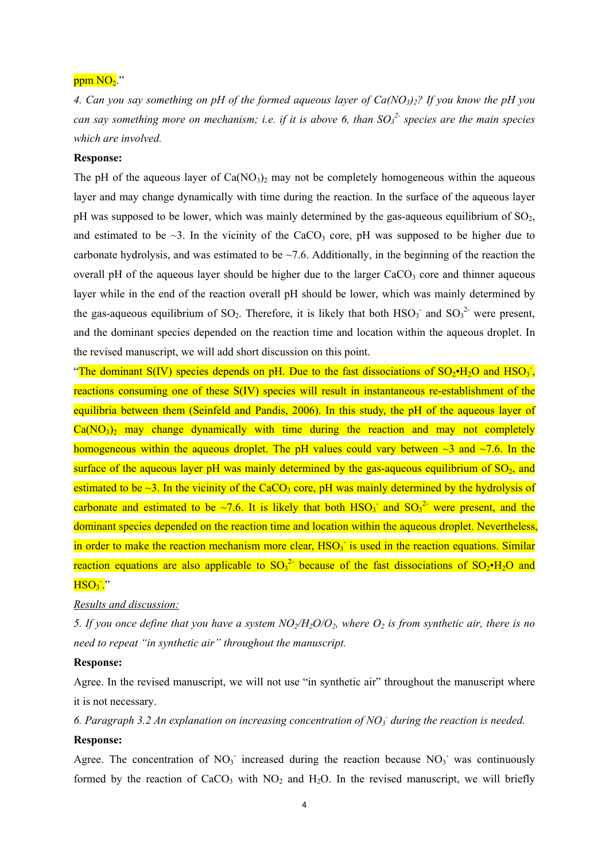# $ppm NO<sub>2</sub>$ ."

*4. Can you say something on pH of the formed aqueous layer of Ca(NO3)2? If you know the pH you can say something more on mechanism; i.e. if it is above 6, than SO<sub>3</sub><sup>2</sup> species are the main species which are involved.* 

### **Response:**

The pH of the aqueous layer of  $Ca(NO<sub>3</sub>)<sub>2</sub>$  may not be completely homogeneous within the aqueous layer and may change dynamically with time during the reaction. In the surface of the aqueous layer pH was supposed to be lower, which was mainly determined by the gas-aqueous equilibrium of  $SO_2$ , and estimated to be  $\sim$ 3. In the vicinity of the CaCO<sub>3</sub> core, pH was supposed to be higher due to carbonate hydrolysis, and was estimated to be  $\sim$ 7.6. Additionally, in the beginning of the reaction the overall pH of the aqueous layer should be higher due to the larger  $CaCO<sub>3</sub>$  core and thinner aqueous layer while in the end of the reaction overall pH should be lower, which was mainly determined by the gas-aqueous equilibrium of SO<sub>2</sub>. Therefore, it is likely that both  $HSO_3^-$  and  $SO_3^2$  were present, and the dominant species depended on the reaction time and location within the aqueous droplet. In the revised manuscript, we will add short discussion on this point.

"The dominant S(IV) species depends on pH. Due to the fast dissociations of  $SO_2\bullet H_2O$  and  $HSO_3$ , reactions consuming one of these S(IV) species will result in instantaneous re-establishment of the equilibria between them (Seinfeld and Pandis, 2006). In this study, the pH of the aqueous layer of  $Ca(NO<sub>3</sub>)<sub>2</sub>$  may change dynamically with time during the reaction and may not completely homogeneous within the aqueous droplet. The pH values could vary between  $\sim$ 3 and  $\sim$ 7.6. In the surface of the aqueous layer pH was mainly determined by the gas-aqueous equilibrium of  $SO<sub>2</sub>$ , and estimated to be  $\sim$ 3. In the vicinity of the CaCO<sub>3</sub> core, pH was mainly determined by the hydrolysis of carbonate and estimated to be  $\sim$ 7.6. It is likely that both HSO<sub>3</sub> and SO<sub>3</sub><sup>2</sup> were present, and the dominant species depended on the reaction time and location within the aqueous droplet. Nevertheless, in order to make the reaction mechanism more clear,  $HSO<sub>3</sub>$  is used in the reaction equations. Similar reaction equations are also applicable to  ${SO_3}^2$  because of the fast dissociations of  ${SO_2 \cdot H_2O}$  and  $HSO<sub>3</sub>$ ."

#### *Results and discussion:*

*5. If you once define that you have a system*  $NO_2/H_2O/O_2$ *, where*  $O_2$  *is from synthetic air, there is no need to repeat "in synthetic air" throughout the manuscript.* 

#### **Response:**

Agree. In the revised manuscript, we will not use "in synthetic air" throughout the manuscript where it is not necessary.

6. Paragraph 3.2 An explanation on increasing concentration of NO<sub>3</sub> during the reaction is needed. **Response:** 

Agree. The concentration of  $NO<sub>3</sub>$  increased during the reaction because  $NO<sub>3</sub>$  was continuously formed by the reaction of  $CaCO<sub>3</sub>$  with  $NO<sub>2</sub>$  and  $H<sub>2</sub>O$ . In the revised manuscript, we will briefly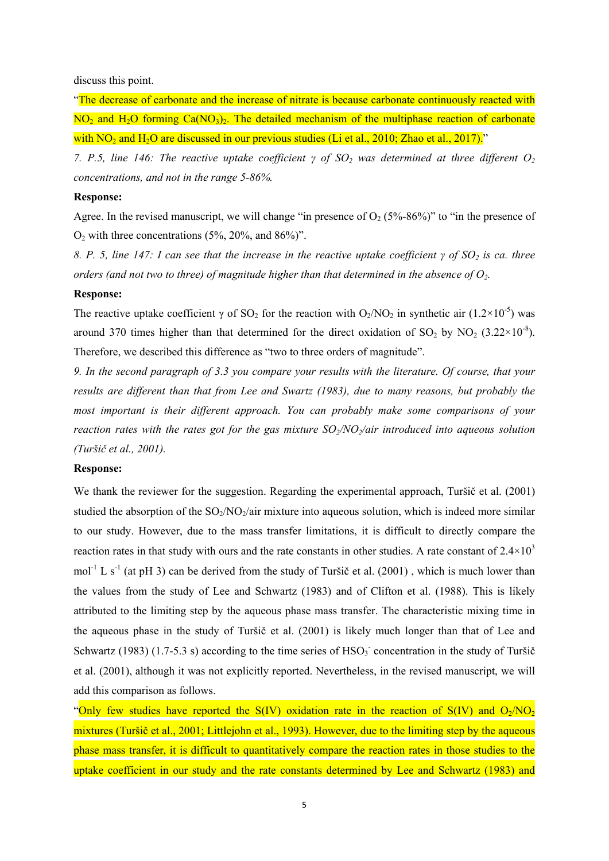discuss this point.

"The decrease of carbonate and the increase of nitrate is because carbonate continuously reacted with  $NO<sub>2</sub>$  and H<sub>2</sub>O forming Ca(NO<sub>3</sub>)<sub>2</sub>. The detailed mechanism of the multiphase reaction of carbonate with  $NO<sub>2</sub>$  and  $H<sub>2</sub>O$  are discussed in our previous studies (Li et al., 2010; Zhao et al., 2017)."

*7. P.5, line 146: The reactive uptake coefficient γ of SO<sub>2</sub> was determined at three different O<sub>2</sub> concentrations, and not in the range 5-86%.* 

### **Response:**

Agree. In the revised manuscript, we will change "in presence of  $O_2$  (5%-86%)" to "in the presence of  $O_2$  with three concentrations (5%, 20%, and 86%)".

*8. P. 5, line 147: I can see that the increase in the reactive uptake coefficient γ of SO<sub>2</sub> is ca. three orders (and not two to three) of magnitude higher than that determined in the absence of*  $O_2$ *.* 

#### **Response:**

The reactive uptake coefficient  $\gamma$  of SO<sub>2</sub> for the reaction with O<sub>2</sub>/NO<sub>2</sub> in synthetic air (1.2×10<sup>-5</sup>) was around 370 times higher than that determined for the direct oxidation of  $SO_2$  by  $NO_2$  (3.22×10<sup>-8</sup>). Therefore, we described this difference as "two to three orders of magnitude".

*9. In the second paragraph of 3.3 you compare your results with the literature. Of course, that your results are different than that from Lee and Swartz (1983), due to many reasons, but probably the most important is their different approach. You can probably make some comparisons of your reaction rates with the rates got for the gas mixture*  $SO_2/NO_2/air$  *introduced into aqueous solution (Turšič et al., 2001).* 

### **Response:**

We thank the reviewer for the suggestion. Regarding the experimental approach, Turšič et al. (2001) studied the absorption of the  $SO_2/NO_2/air$  mixture into aqueous solution, which is indeed more similar to our study. However, due to the mass transfer limitations, it is difficult to directly compare the reaction rates in that study with ours and the rate constants in other studies. A rate constant of  $2.4 \times 10^3$ mol<sup>-1</sup> L s<sup>-1</sup> (at pH 3) can be derived from the study of Turšič et al. (2001), which is much lower than the values from the study of Lee and Schwartz (1983) and of Clifton et al. (1988). This is likely attributed to the limiting step by the aqueous phase mass transfer. The characteristic mixing time in the aqueous phase in the study of Turšič et al. (2001) is likely much longer than that of Lee and Schwartz (1983) (1.7-5.3 s) according to the time series of  $HSO<sub>3</sub>$  concentration in the study of Turšič et al. (2001), although it was not explicitly reported. Nevertheless, in the revised manuscript, we will add this comparison as follows.

"Only few studies have reported the S(IV) oxidation rate in the reaction of S(IV) and  $O<sub>2</sub>/NO<sub>2</sub>$ mixtures (Turšič et al., 2001; Littlejohn et al., 1993). However, due to the limiting step by the aqueous phase mass transfer, it is difficult to quantitatively compare the reaction rates in those studies to the uptake coefficient in our study and the rate constants determined by Lee and Schwartz (1983) and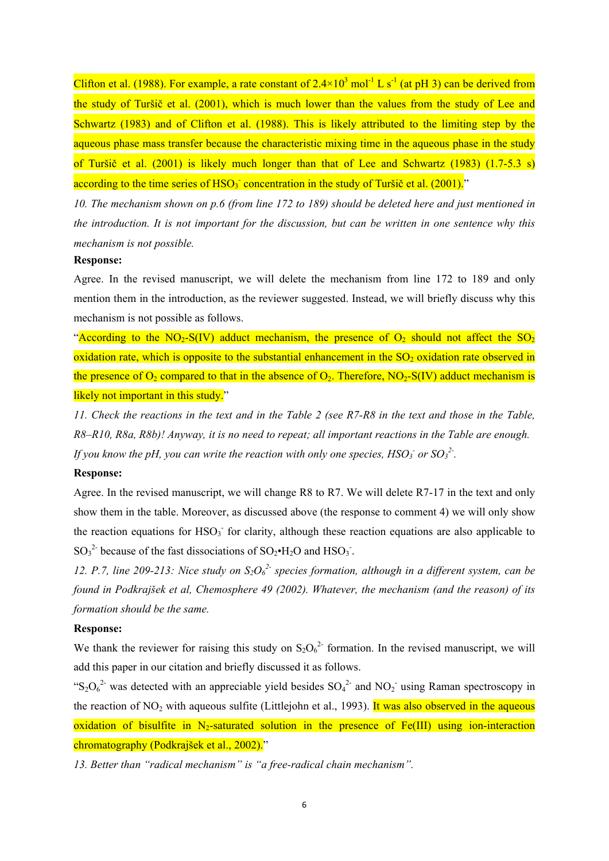Clifton et al. (1988). For example, a rate constant of  $2.4 \times 10^3$  mol<sup>-1</sup> L s<sup>-1</sup> (at pH 3) can be derived from the study of Turšič et al. (2001), which is much lower than the values from the study of Lee and Schwartz (1983) and of Clifton et al. (1988). This is likely attributed to the limiting step by the aqueous phase mass transfer because the characteristic mixing time in the aqueous phase in the study of Turšič et al. (2001) is likely much longer than that of Lee and Schwartz (1983) (1.7-5.3 s) according to the time series of  $HSO_3^-$  concentration in the study of Turšič et al. (2001)."

*10. The mechanism shown on p.6 (from line 172 to 189) should be deleted here and just mentioned in the introduction. It is not important for the discussion, but can be written in one sentence why this mechanism is not possible.* 

#### **Response:**

Agree. In the revised manuscript, we will delete the mechanism from line 172 to 189 and only mention them in the introduction, as the reviewer suggested. Instead, we will briefly discuss why this mechanism is not possible as follows.

"According to the NO<sub>2</sub>-S(IV) adduct mechanism, the presence of  $O_2$  should not affect the SO<sub>2</sub> oxidation rate, which is opposite to the substantial enhancement in the  $SO<sub>2</sub>$  oxidation rate observed in the presence of  $O_2$  compared to that in the absence of  $O_2$ . Therefore, NO<sub>2</sub>-S(IV) adduct mechanism is likely not important in this study."

*11. Check the reactions in the text and in the Table 2 (see R7-R8 in the text and those in the Table, R8–R10, R8a, R8b)! Anyway, it is no need to repeat; all important reactions in the Table are enough. If you know the pH, you can write the reaction with only one species,*  $HSO<sub>3</sub>$  *or*  $SO<sub>3</sub><sup>2</sup>$ *.* 

#### **Response:**

Agree. In the revised manuscript, we will change R8 to R7. We will delete R7-17 in the text and only show them in the table. Moreover, as discussed above (the response to comment 4) we will only show the reaction equations for  $HSO<sub>3</sub>$  for clarity, although these reaction equations are also applicable to  $SO_3^2$  because of the fast dissociations of  $SO_2 \cdot H_2O$  and  $HSO_3$ .

12. P.7, line 209-213: Nice study on  $S_2O_6^{2}$  species formation, although in a different system, can be *found in Podkrajšek et al, Chemosphere 49 (2002). Whatever, the mechanism (and the reason) of its formation should be the same.* 

### **Response:**

We thank the reviewer for raising this study on  $S_2O_6^{2}$  formation. In the revised manuscript, we will add this paper in our citation and briefly discussed it as follows.

"S<sub>2</sub>O<sub>6</sub><sup>2-</sup> was detected with an appreciable yield besides  $SO_4^2$ <sup>2-</sup> and  $NO_2^-$  using Raman spectroscopy in the reaction of NO<sub>2</sub> with aqueous sulfite (Littlejohn et al., 1993). It was also observed in the aqueous oxidation of bisulfite in N<sub>2</sub>-saturated solution in the presence of Fe(III) using ion-interaction chromatography (Podkrajšek et al., 2002)."

*13. Better than "radical mechanism" is "a free-radical chain mechanism".*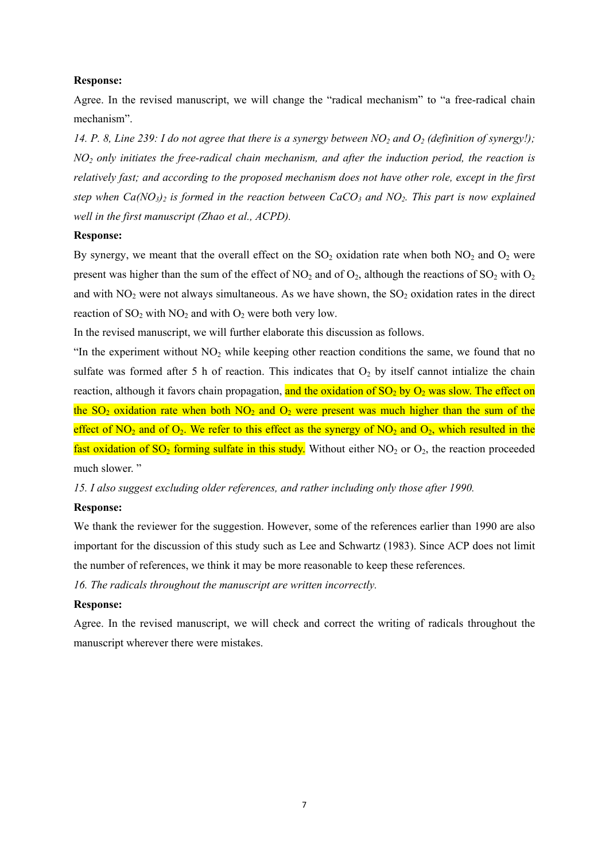#### **Response:**

Agree. In the revised manuscript, we will change the "radical mechanism" to "a free-radical chain mechanism".

14. P. 8, Line 239: I do not agree that there is a synergy between  $NO<sub>2</sub>$  and  $O<sub>2</sub>$  (definition of synergy!); *NO2 only initiates the free-radical chain mechanism, and after the induction period, the reaction is relatively fast; and according to the proposed mechanism does not have other role, except in the first step when Ca(NO<sub>3</sub>)<sub>2</sub> is formed in the reaction between CaCO<sub>3</sub> and NO<sub>2</sub>. This part is now explained well in the first manuscript (Zhao et al., ACPD).* 

## **Response:**

By synergy, we meant that the overall effect on the  $SO<sub>2</sub>$  oxidation rate when both  $NO<sub>2</sub>$  and  $O<sub>2</sub>$  were present was higher than the sum of the effect of  $NO_2$  and of  $O_2$ , although the reactions of  $SO_2$  with  $O_2$ and with  $NO<sub>2</sub>$  were not always simultaneous. As we have shown, the  $SO<sub>2</sub>$  oxidation rates in the direct reaction of  $SO_2$  with  $NO_2$  and with  $O_2$  were both very low.

In the revised manuscript, we will further elaborate this discussion as follows.

"In the experiment without  $NO<sub>2</sub>$  while keeping other reaction conditions the same, we found that no sulfate was formed after 5 h of reaction. This indicates that  $O_2$  by itself cannot intialize the chain reaction, although it favors chain propagation, and the oxidation of  $SO_2$  by  $O_2$  was slow. The effect on the SO<sub>2</sub> oxidation rate when both NO<sub>2</sub> and O<sub>2</sub> were present was much higher than the sum of the effect of  $NO_2$  and of  $O_2$ . We refer to this effect as the synergy of  $NO_2$  and  $O_2$ , which resulted in the fast oxidation of  $SO_2$  forming sulfate in this study. Without either NO<sub>2</sub> or O<sub>2</sub>, the reaction proceeded much slower. "

*15. I also suggest excluding older references, and rather including only those after 1990.* 

#### **Response:**

We thank the reviewer for the suggestion. However, some of the references earlier than 1990 are also important for the discussion of this study such as Lee and Schwartz (1983). Since ACP does not limit the number of references, we think it may be more reasonable to keep these references.

*16. The radicals throughout the manuscript are written incorrectly.* 

### **Response:**

Agree. In the revised manuscript, we will check and correct the writing of radicals throughout the manuscript wherever there were mistakes.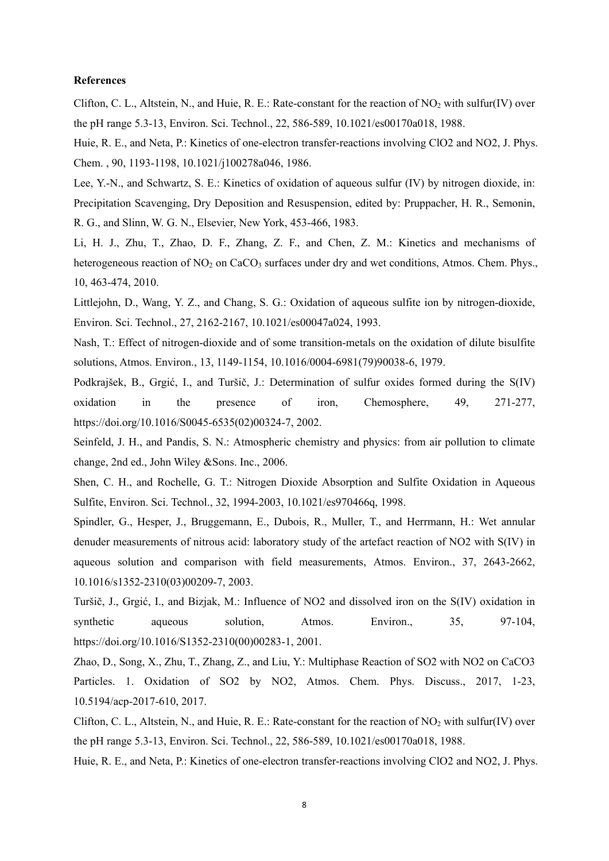#### **References**

Clifton, C. L., Altstein, N., and Huie, R. E.: Rate-constant for the reaction of  $NO<sub>2</sub>$  with sulfur(IV) over the pH range 5.3-13, Environ. Sci. Technol., 22, 586-589, 10.1021/es00170a018, 1988.

Huie, R. E., and Neta, P.: Kinetics of one-electron transfer-reactions involving ClO2 and NO2, J. Phys. Chem. , 90, 1193-1198, 10.1021/j100278a046, 1986.

Lee, Y.-N., and Schwartz, S. E.: Kinetics of oxidation of aqueous sulfur (IV) by nitrogen dioxide, in: Precipitation Scavenging, Dry Deposition and Resuspension, edited by: Pruppacher, H. R., Semonin, R. G., and Slinn, W. G. N., Elsevier, New York, 453-466, 1983.

Li, H. J., Zhu, T., Zhao, D. F., Zhang, Z. F., and Chen, Z. M.: Kinetics and mechanisms of heterogeneous reaction of NO<sub>2</sub> on CaCO<sub>3</sub> surfaces under dry and wet conditions, Atmos. Chem. Phys., 10, 463-474, 2010.

Littlejohn, D., Wang, Y. Z., and Chang, S. G.: Oxidation of aqueous sulfite ion by nitrogen-dioxide, Environ. Sci. Technol., 27, 2162-2167, 10.1021/es00047a024, 1993.

Nash, T.: Effect of nitrogen-dioxide and of some transition-metals on the oxidation of dilute bisulfite solutions, Atmos. Environ., 13, 1149-1154, 10.1016/0004-6981(79)90038-6, 1979.

Podkrajšek, B., Grgić, I., and Turšič, J.: Determination of sulfur oxides formed during the S(IV) oxidation in the presence of iron, Chemosphere, 49, 271-277, https://doi.org/10.1016/S0045-6535(02)00324-7, 2002.

Seinfeld, J. H., and Pandis, S. N.: Atmospheric chemistry and physics: from air pollution to climate change, 2nd ed., John Wiley &Sons. Inc., 2006.

Shen, C. H., and Rochelle, G. T.: Nitrogen Dioxide Absorption and Sulfite Oxidation in Aqueous Sulfite, Environ. Sci. Technol., 32, 1994-2003, 10.1021/es970466q, 1998.

Spindler, G., Hesper, J., Bruggemann, E., Dubois, R., Muller, T., and Herrmann, H.: Wet annular denuder measurements of nitrous acid: laboratory study of the artefact reaction of NO2 with S(IV) in aqueous solution and comparison with field measurements, Atmos. Environ., 37, 2643-2662, 10.1016/s1352-2310(03)00209-7, 2003.

Turšič, J., Grgić, I., and Bizjak, M.: Influence of NO2 and dissolved iron on the S(IV) oxidation in synthetic aqueous solution, Atmos. Environ., 35, 97-104, https://doi.org/10.1016/S1352-2310(00)00283-1, 2001.

Zhao, D., Song, X., Zhu, T., Zhang, Z., and Liu, Y.: Multiphase Reaction of SO2 with NO2 on CaCO3 Particles. 1. Oxidation of SO2 by NO2, Atmos. Chem. Phys. Discuss., 2017, 1-23, 10.5194/acp-2017-610, 2017.

Clifton, C. L., Altstein, N., and Huie, R. E.: Rate-constant for the reaction of  $NO<sub>2</sub>$  with sulfur(IV) over the pH range 5.3-13, Environ. Sci. Technol., 22, 586-589, 10.1021/es00170a018, 1988.

Huie, R. E., and Neta, P.: Kinetics of one-electron transfer-reactions involving ClO2 and NO2, J. Phys.